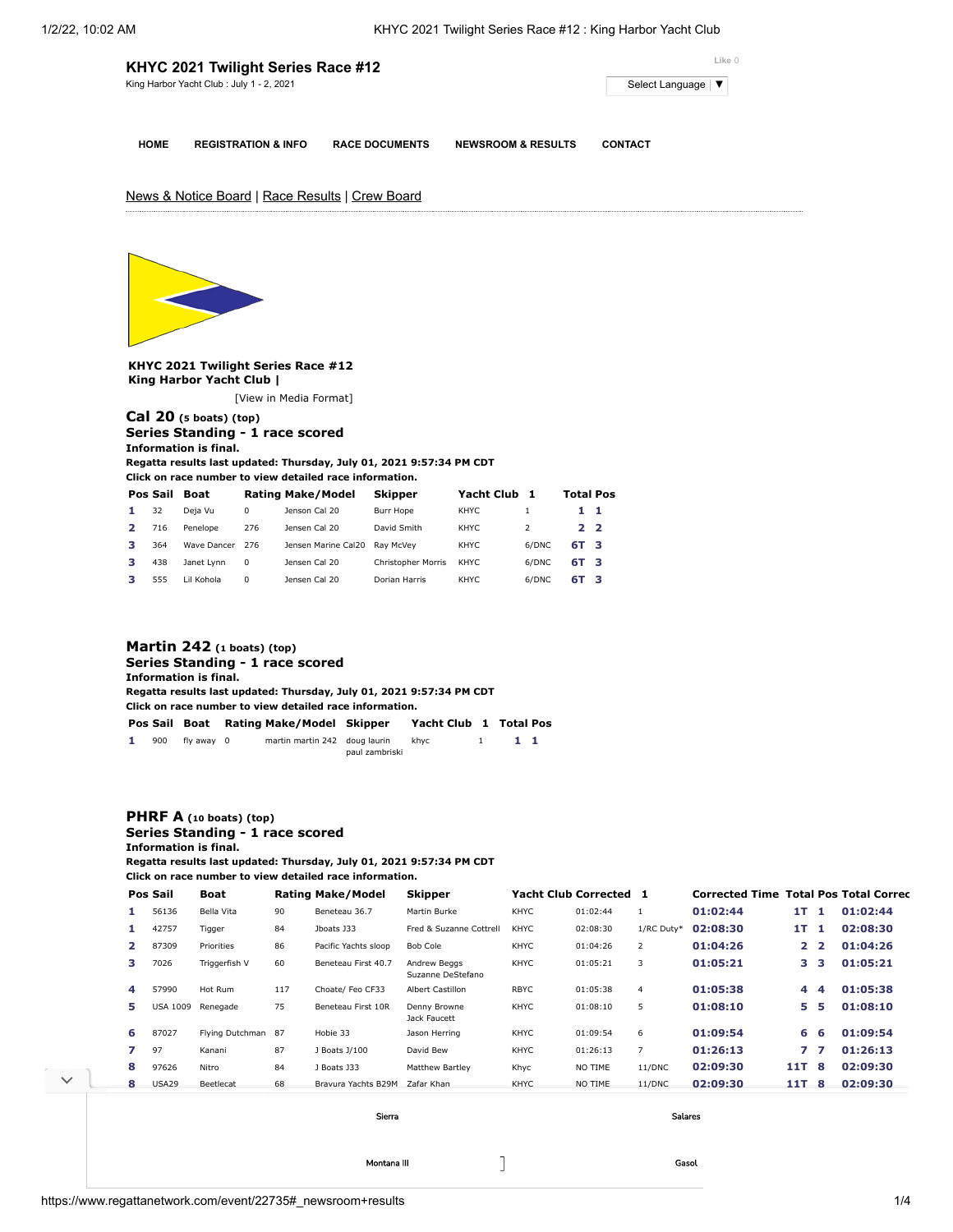|             | KHYC 2021 Twilight Series Race #12       | Like 0                |                               |                     |
|-------------|------------------------------------------|-----------------------|-------------------------------|---------------------|
|             | King Harbor Yacht Club: July 1 - 2, 2021 |                       |                               | Select Language   ▼ |
|             |                                          |                       |                               |                     |
| <b>HOME</b> | <b>REGISTRATION &amp; INFO</b>           | <b>RACE DOCUMENTS</b> | <b>NEWSROOM &amp; RESULTS</b> | <b>CONTACT</b>      |

# News & Notice Board | Race Results | Crew Board



**KHYC 2021 Twilight Series Race #12 King Harbor Yacht Club |**

[\[View in Media Format](https://www.regattanetwork.com/clubmgmt/applet_regatta_results.php?regatta_id=22735&show_manufacturer=1&show_crew=1&media_format=1)]

## **[Cal 20](https://www.regattanetwork.com/clubmgmt/applet_regatta_results.php?regatta_id=22735&show_manufacturer=1&show_crew=1&limit_fleet=Cal+20) (5 boats) (top) Series Standing - 1 race scored Information is final.**

**Regatta results last updated: Thursday, July 01, 2021 9:57:34 PM CDT**

**Click on race number to view detailed race information.**

| Pos Sail | Boat        |          | <b>Rating Make/Model</b> | <b>Skipper</b>     | Yacht Club |               | <b>Total Pos</b> |  |
|----------|-------------|----------|--------------------------|--------------------|------------|---------------|------------------|--|
| 32       | Deja Vu     | 0        | Jenson Cal 20            | Burr Hope          | KHYC.      |               | 11               |  |
| 716      | Penelope    | 276      | Jensen Cal 20            | David Smith        | KHYC.      | $\mathcal{L}$ | 22               |  |
| 364      | Wave Dancer | 276      | Jensen Marine Cal20      | Rav McVev          | KHYC       | 6/DNC         | 6T 3             |  |
| 438      | Janet Lynn  | 0        | Jensen Cal 20            | Christopher Morris | KHYC.      | 6/DNC         | 6T 3             |  |
| 555      | Lil Kohola  | $\Omega$ | Jensen Cal 20            | Dorian Harris      | KHYC.      | 6/DNC         | 6T 3             |  |

## **[Martin 242](https://www.regattanetwork.com/clubmgmt/applet_regatta_results.php?regatta_id=22735&show_manufacturer=1&show_crew=1&limit_fleet=Martin+242) (1 boats) (top) Series Standing - 1 race scored Information is final. Regatta results last updated: Thursday, July 01, 2021 9:57:34 PM CDT Click on race number to view detailed race information. Pos Sail Boat Rating Make/Model Skipper Yacht Club [1](https://www.regattanetwork.com/clubmgmt/applet_race_scores.php?regatta_id=22735&race_num=1&fleet=Martin+242&show_crew=1) Total Pos 1** 900 fly away 0 martin martin 242 doug laurin khyc 1 **1 1** paul zambriski

# **[PHRF A](https://www.regattanetwork.com/clubmgmt/applet_regatta_results.php?regatta_id=22735&show_manufacturer=1&show_crew=1&limit_fleet=PHRF+A) (10 boats) (top) Series Standing - 1 race scored Information is final.**

**Regatta results last updated: Thursday, July 01, 2021 9:57:34 PM CDT Click on race number to view detailed race information.**

|   | Pos Sail        | Boat               |     | <b>Rating Make/Model</b> | <b>Skipper</b>                    | Yacht Club Corrected 1 |          |                | <b>Corrected Time Total Pos Total Correct</b> |              |                |          |
|---|-----------------|--------------------|-----|--------------------------|-----------------------------------|------------------------|----------|----------------|-----------------------------------------------|--------------|----------------|----------|
|   | 56136           | Bella Vita         | 90  | Beneteau 36.7            | Martin Burke                      | <b>KHYC</b>            | 01:02:44 |                | 01:02:44                                      | 1T.          | л.             | 01:02:44 |
|   | 42757           | Tigger             | 84  | Jboats J33               | Fred & Suzanne Cottrell           | <b>KHYC</b>            | 02:08:30 | 1/RC Duty*     | 02:08:30                                      | 1T           | -1.            | 02:08:30 |
| 2 | 87309           | Priorities         | 86  | Pacific Yachts sloop     | Bob Cole                          | <b>KHYC</b>            | 01:04:26 | 2              | 01:04:26                                      | $\mathbf{2}$ | $\overline{2}$ | 01:04:26 |
| з | 7026            | Triggerfish V      | 60  | Beneteau First 40.7      | Andrew Beggs<br>Suzanne DeStefano | <b>KHYC</b>            | 01:05:21 | 3              | 01:05:21                                      | 3.           | з              | 01:05:21 |
| 4 | 57990           | Hot Rum            | 117 | Choate/ Feo CF33         | <b>Albert Castillon</b>           | <b>RBYC</b>            | 01:05:38 | $\overline{4}$ | 01:05:38                                      | 4            | 4              | 01:05:38 |
| 5 | <b>USA 1009</b> | Renegade           | 75  | Beneteau First 10R       | Denny Browne<br>Jack Faucett      | <b>KHYC</b>            | 01:08:10 | 5              | 01:08:10                                      | 5.           | 5              | 01:08:10 |
| 6 | 87027           | Flying Dutchman 87 |     | Hobie 33                 | Jason Herring                     | <b>KHYC</b>            | 01:09:54 | 6              | 01:09:54                                      | 6            | 6              | 01:09:54 |
| 7 | 97              | Kanani             | 87  | J Boats J/100            | David Bew                         | <b>KHYC</b>            | 01:26:13 | $\overline{7}$ | 01:26:13                                      | 77           |                | 01:26:13 |
| 8 | 97626           | Nitro              | 84  | J Boats J33              | <b>Matthew Bartley</b>            | Khyc                   | NO TIME  | 11/DNC         | 02:09:30                                      | 11T          | 8              | 02:09:30 |
| 8 | <b>USA29</b>    | Beetlecat          | 68  | Bravura Yachts B29M      | Zafar Khan                        | <b>KHYC</b>            | NO TIME  | 11/DNC         | 02:09:30                                      | 11T          | 8              | 02:09:30 |

Montana III [Gasol](https://cat.da.us.criteo.com/m/delivery/ck.php?cppv=3&cpp=5zV94iKtRr_WsxhOTPBX_NxaKjcrr6rjoMW1RDIOgpNogiCOAqT0cck2A7dzJCjnIvpyHN9EBR0xVjQYrcd-pBsieIw0110XRybPK79pXgtWVzbRemlHq1UDEYI436rTclew1-piUoJ-j4D8GfhdMd6y56e0GHVV0BXQjgs02JRg6kIQ5TB00Y30VlvhdW_OMnsAtYkv-YV6HBQYey3InTpiotzo1DLNtvtHhANAFiw5BMQV34R_WcLxxHVDeN82RBf7WFApF9uM4r239aSPk9LKqZBj-Q4FtuYC8g2eEwh-Fa9YwAOU9ITju11DjnCEB7r9KhEnvYPvcZIFAlpqMSLiar9qsv-_MFfFCG9sNG3sOKlXsKaTvwKcdVAFkRwKi_LEqPwaodJEClLGoSj1SopLqas3VfR4TI1YFFZEIjs_AdFJmLS4XJVnGwkAYRtIXi5a3GF-PJ-8Pk7Kqge9cCIRc5YqI8QG0QS10ScqEci0YU7H&maxdest=https%3A%2F%2Fmagnanni.com%2Fgasol-w%3Futm_source%3Dcriteo%26utm_medium%3Ddisplay%26utm_campaign%3DWeb%2520Traffic%2520-%2520Oct%252021%252C%25202021%2520)

[Sierra](https://cat.da.us.criteo.com/m/delivery/ck.php?cppv=3&cpp=OMH8QyKtRr_WsxhOTPBX_NxaKjcrr6rjoMW1RDIOgpNogiCOAqT0cck2A7dzJCjnIvpyHN9EBR0xVjQYrcd-pBsieIw0110XRybPK79pXgtWVzbRemlHq1UDEYI436rTclew1-piUoJ-j4D8GfhdMd6y56fMPOJOFA4Tvr_L2FcqgcYzByAEB-ijChLfJxprfSjX3xwH9ALLUlMgZJixGtKpb3XosGBsaboosHrkmKIPh7x6ElSStFy-uwQBzwJmeRUj08DUO3M3qnJsRKwCYXbPASv4zvC-C2ps6Lt5-f5cT5a_OQw3XdZ1bL6r_F-aBtguQ2cIKzLt-mdVvYwtIvxwhDbGn6uWbzZMl1h5j2MppQ4B30FAOQVHLcxrtzbIbrk764TLeVCalkHSjF-t7M3ryboqg8Zd8e5WymSY7h5B1T0qhoPvh3nm2Psw33sHD-nhP4OHnMSre6BatUwe6uq3YEE-UxmY9HS5hjMJSyDQkL9S&maxdest=https%3A%2F%2Fmagnanni.com%2Fsierra%3Futm_source%3Dcriteo%26utm_medium%3Ddisplay%26utm_campaign%3DWeb%2520Traffic%2520-%2520Oct%252021%252C%25202021%2520) [Salares](https://cat.da.us.criteo.com/m/delivery/ck.php?cppv=3&cpp=IblexSKtRr_WsxhOTPBX_NxaKjcrr6rjoMW1RDIOgpNogiCOAqT0cck2A7dzJCjnIvpyHN9EBR0xVjQYrcd-pBsieIw0110XRybPK79pXgtWVzbRemlHq1UDEYI436rTclew1-piUoJ-j4D8GfhdMd6y56cf95FnjQxbVhZXr7Hvl33Z6QLugZNU2gc3Iz3p2v5HtggrG_wl0a-E5D4rY8DpC-Iea89cf2LdTx_cnvbHjqkYA7KmY2p6RjkvHu_J3pPWgv4GZoACHzjLNn8-Adwycu9V-kPA1GioXga8wvpt0jLm2bGW7jnSiUgFXGa0vgafM899bDlDYP1nQnrjEGEBF1j8FdkVfAGrcCmz5SzHHftjY-OxW-2HY10Nw_gkX507T-YAPOZs2StO0MiXQSq6pPn-iesw-im5MxXj9ehyj2F2EXpxUcrpPOn7QOEAV1xSL8b9QiI3EbyhHMyu141Zrkr5u74pGqPUhTI5gO7_ouz6&maxdest=https%3A%2F%2Fmagnanni.com%2Fsalares%3Futm_source%3Dcriteo%26utm_medium%3Ddisplay%26utm_campaign%3DWeb%2520Traffic%2520-%2520Oct%252021%252C%25202021%2520)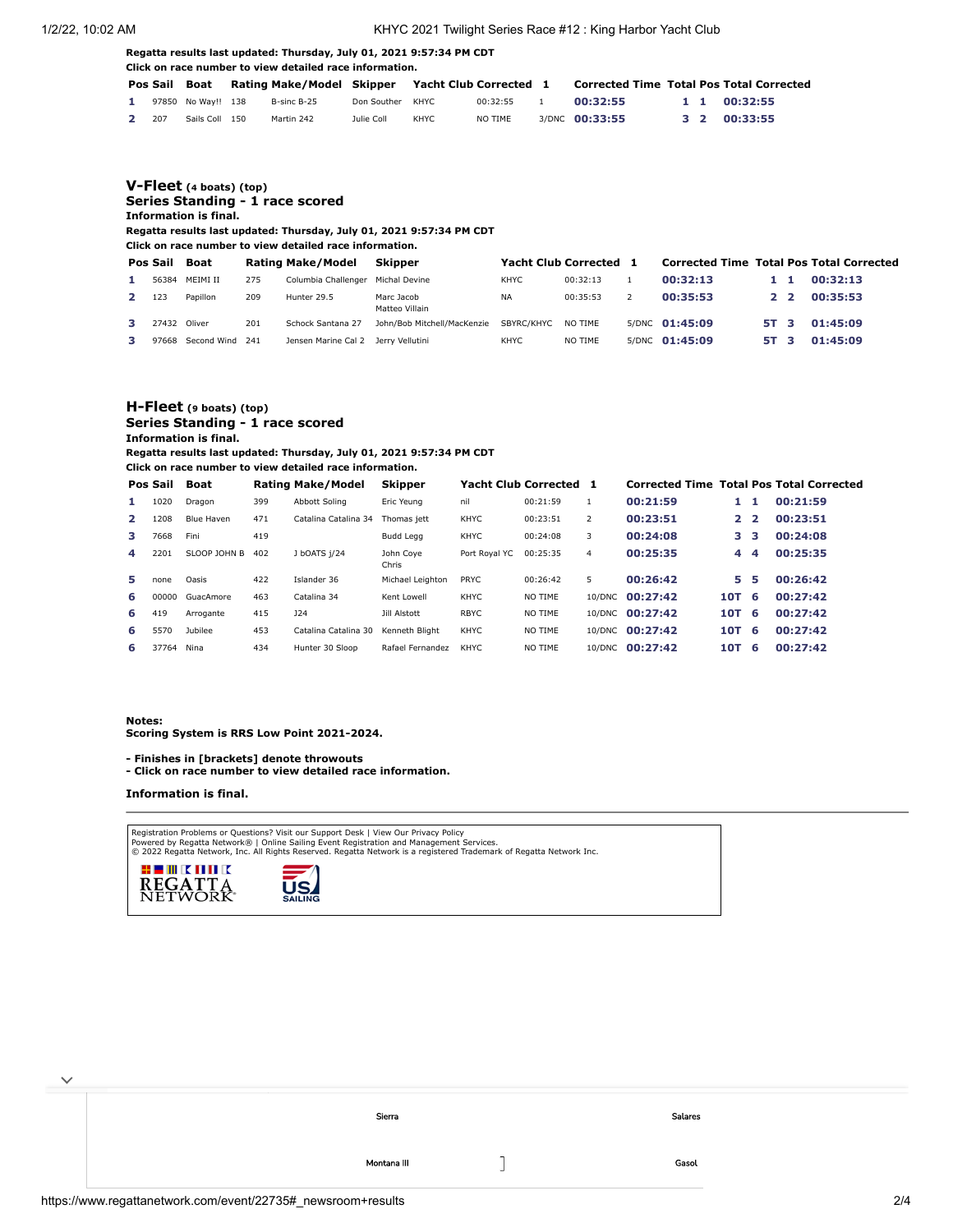#### **Regatta results last updated: Thursday, July 01, 2021 9:57:34 PM CDT Click on race number to view detailed race information.**

|              |                    | Pos Sail Boat Rating Make/Model Skipper Yacht Club Corrected 1 |                  |       |          | <b>Corrected Time Total Pos Total Corrected</b> |  |              |
|--------------|--------------------|----------------------------------------------------------------|------------------|-------|----------|-------------------------------------------------|--|--------------|
| $\mathbf{1}$ | 97850 No Wav!! 138 | B-sinc B-25                                                    | Don Souther KHYC |       | 00:32:55 | 00:32:55                                        |  | 1 1 00:32:55 |
| 2 207        | Sails Coll 150     | Martin 242                                                     | Julie Coll       | KHYC. | NO TIME  | 3/DNC 00:33:55                                  |  | 3 2 00:33:55 |

## **[V-Fleet](https://www.regattanetwork.com/clubmgmt/applet_regatta_results.php?regatta_id=22735&show_manufacturer=1&show_crew=1&limit_fleet=V-Fleet) (4 boats) (top) Series Standing - 1 race scored Information is final.**

**Regatta results last updated: Thursday, July 01, 2021 9:57:34 PM CDT**

**Click on race number to view detailed race information.**

|              | Pos Sail     | Boat                  |     | Rating Make/Model                   | Skipper                      | Yacht Club Corrected 1 |          | <b>Corrected Time Total Pos Total Corrected</b> |      |             |          |
|--------------|--------------|-----------------------|-----|-------------------------------------|------------------------------|------------------------|----------|-------------------------------------------------|------|-------------|----------|
|              |              | 56384 MEIMI II        | 275 | Columbia Challenger Michal Devine   |                              | KHYC                   | 00:32:13 | 00:32:13                                        |      |             | 00:32:13 |
| $\mathbf{z}$ | 123          | Papillon              | 209 | Hunter 29.5                         | Marc Jacob<br>Matteo Villain | <b>NA</b>              | 00:35:53 | 00:35:53                                        |      | $2^{\circ}$ | 00:35:53 |
|              | 27432 Oliver |                       | 201 | Schock Santana 27                   | John/Bob Mitchell/MacKenzie  | SBYRC/KHYC             | NO TIME  | 5/DNC 01:45:09                                  | 5T 3 |             | 01:45:09 |
| з.           |              | 97668 Second Wind 241 |     | Jensen Marine Cal 2 Jerry Vellutini |                              | KHYC                   | NO TIME  | 5/DNC 01:45:09                                  | 5T 3 |             | 01:45:09 |

# **[H-Fleet](https://www.regattanetwork.com/clubmgmt/applet_regatta_results.php?regatta_id=22735&show_manufacturer=1&show_crew=1&limit_fleet=H-Fleet) (9 boats) (top) Series Standing - 1 race scored Information is final. Regatta results last updated: Thursday, July 01, 2021 9:57:34 PM CDT**

**Click on race number to view detailed race information.**

|                | Pos Sail | Boat            |     | Rating Make/Model    | <b>Skipper</b>     |               | Yacht Club Corrected 1 |                | <b>Corrected Time Total Pos Total Corrected</b> |              |                |          |
|----------------|----------|-----------------|-----|----------------------|--------------------|---------------|------------------------|----------------|-------------------------------------------------|--------------|----------------|----------|
| 1.             | 1020     | Dragon          | 399 | Abbott Soling        | Eric Yeung         | nil           | 00:21:59               |                | 00:21:59                                        | 1            | -1             | 00:21:59 |
| $\overline{2}$ | 1208     | Blue Haven      | 471 | Catalina Catalina 34 | Thomas iett        | <b>KHYC</b>   | 00:23:51               | 2              | 00:23:51                                        | $\mathbf{2}$ | $\overline{2}$ | 00:23:51 |
| 3              | 7668     | Fini            | 419 |                      | Budd Legg          | <b>KHYC</b>   | 00:24:08               | 3              | 00:24:08                                        | з            | 3              | 00:24:08 |
| 4              | 2201     | SLOOP JOHN B    | 402 | J bOATS i/24         | John Coye<br>Chris | Port Roval YC | 00:25:35               | $\overline{4}$ | 00:25:35                                        | 4            | 4              | 00:25:35 |
| 5.             | none     | Oasis           | 422 | Islander 36          | Michael Leighton   | <b>PRYC</b>   | 00:26:42               | 5              | 00:26:42                                        | 5.           | 5              | 00:26:42 |
| 6              |          | 00000 GuacAmore | 463 | Catalina 34          | Kent Lowell        | KHYC          | NO TIME                |                | 10/DNC 00:27:42                                 | 10T          | -6             | 00:27:42 |
| 6              | 419      | Arrogante       | 415 | <b>J24</b>           | Jill Alstott       | <b>RBYC</b>   | NO TIME                |                | 10/DNC 00:27:42                                 | 10T          | -6             | 00:27:42 |
| 6              | 5570     | Jubilee         | 453 | Catalina Catalina 30 | Kenneth Bliaht     | <b>KHYC</b>   | NO TIME                |                | 10/DNC 00:27:42                                 | 10T          | -6             | 00:27:42 |
| 6              | 37764    | Nina            | 434 | Hunter 30 Sloop      | Rafael Fernandez   | <b>KHYC</b>   | NO TIME                |                | 10/DNC 00:27:42                                 | 10T          | -6             | 00:27:42 |

#### **Notes:**

 $\checkmark$ 

**Scoring System is RRS Low Point 2021-2024.**

**- Finishes in [brackets] denote throwouts** 

**- Click on race number to view detailed race information.**

### **Information is final.**

Registration Problems or Questions? [Visit our Support Desk](http://support.regattanetwork.com/) | [View Our Privacy Policy](https://www.regattanetwork.com/html/privacy.html)<br>[Powered by Regatta Network®](http://www.regattanetwork.com/) | Online Sailing Event Registration and Management Services.<br>© 2022 [Regatta Network,](http://www.regattanetwork.com/) Inc. All Rights Reserved





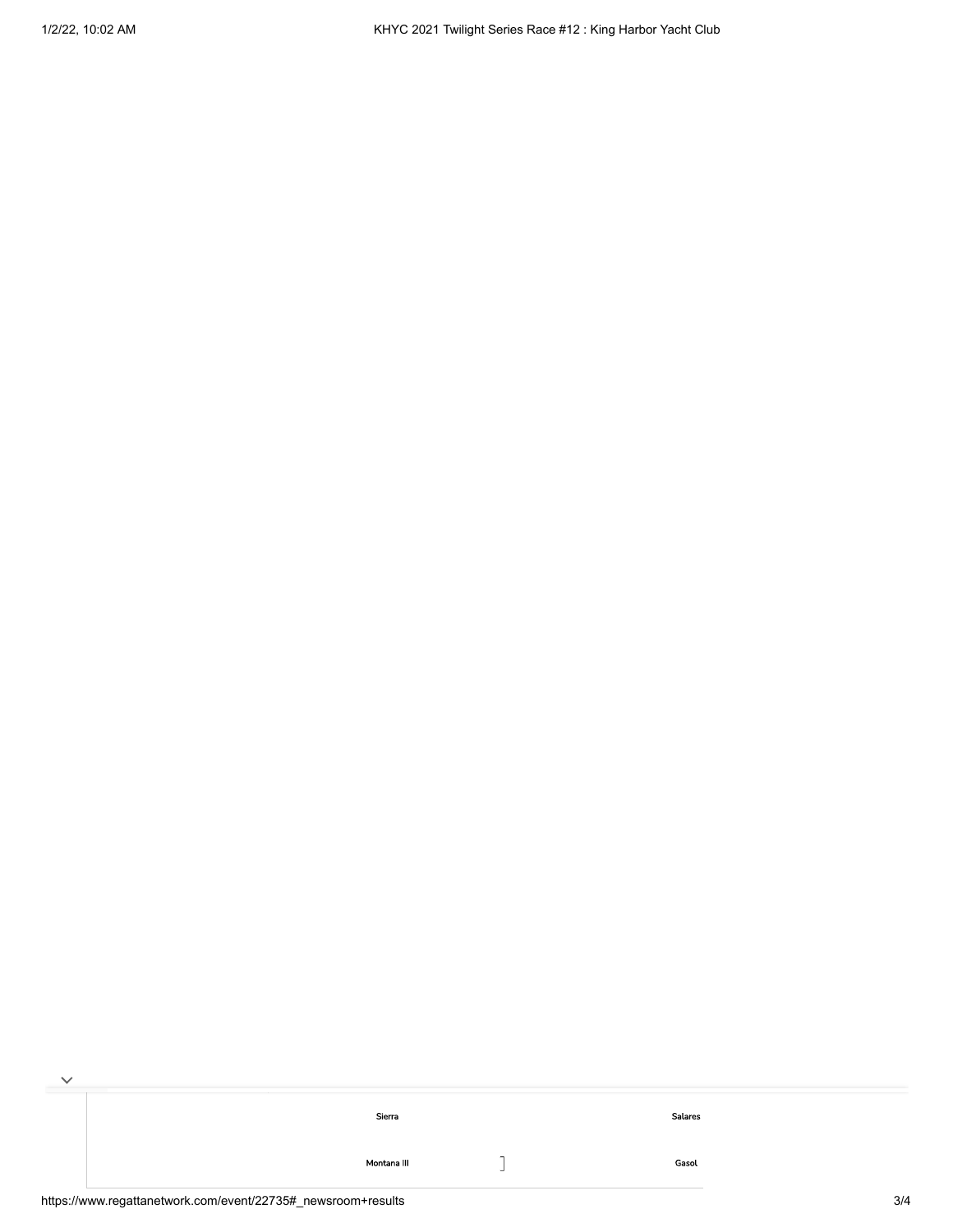| Sierra      | Salares |  |
|-------------|---------|--|
| Montana III | Gasol   |  |

 $\checkmark$